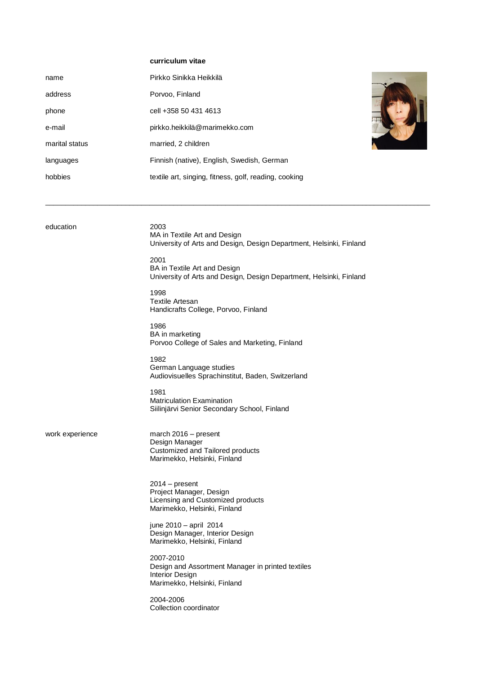## **curriculum vitae**

| name           | Pirkko Sinikka Heikkilä                               |  |
|----------------|-------------------------------------------------------|--|
| address        | Porvoo, Finland                                       |  |
| phone          | cell +358 50 431 4613                                 |  |
| e-mail         | pirkko.heikkilä@marimekko.com                         |  |
| marital status | married, 2 children                                   |  |
| languages      | Finnish (native), English, Swedish, German            |  |
| hobbies        | textile art, singing, fitness, golf, reading, cooking |  |

 $\_$  ,  $\_$  ,  $\_$  ,  $\_$  ,  $\_$  ,  $\_$  ,  $\_$  ,  $\_$  ,  $\_$  ,  $\_$  ,  $\_$  ,  $\_$  ,  $\_$  ,  $\_$  ,  $\_$  ,  $\_$  ,  $\_$  ,  $\_$  ,  $\_$  ,  $\_$  ,  $\_$  ,  $\_$  ,  $\_$  ,  $\_$  ,  $\_$  ,  $\_$  ,  $\_$  ,  $\_$  ,  $\_$  ,  $\_$  ,  $\_$  ,  $\_$  ,  $\_$  ,  $\_$  ,  $\_$  ,  $\_$  ,  $\_$  ,

education 2003

MA in Textile Art and Design University of Arts and Design, Design Department, Helsinki, Finland

2001 BA in Textile Art and Design University of Arts and Design, Design Department, Helsinki, Finland

1998 Textile Artesan Handicrafts College, Porvoo, Finland

1986 BA in marketing Porvoo College of Sales and Marketing, Finland

1982 German Language studies Audiovisuelles Sprachinstitut, Baden, Switzerland

1981 Matriculation Examination Siilinjärvi Senior Secondary School, Finland

work experience march 2016 – present Design Manager Customized and Tailored products Marimekko, Helsinki, Finland

> 2014 – present Project Manager, Design Licensing and Customized products Marimekko, Helsinki, Finland

june 2010 – april 2014 Design Manager, Interior Design Marimekko, Helsinki, Finland

2007-2010 Design and Assortment Manager in printed textiles Interior Design Marimekko, Helsinki, Finland

2004-2006 Collection coordinator